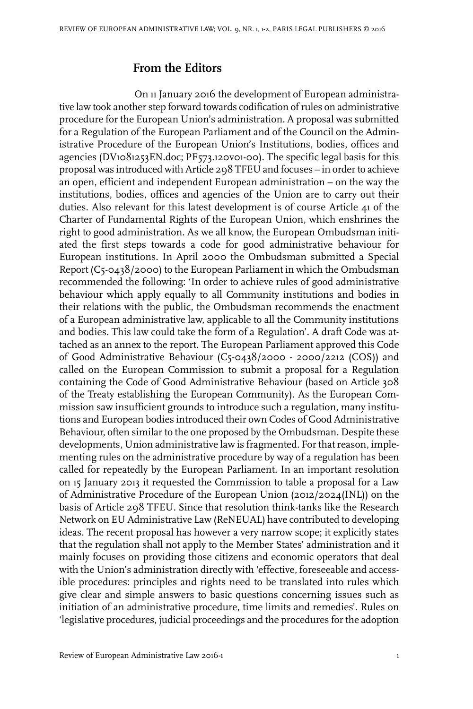## **From the Editors**

On 11 January 2016 the development of European administrative law took another step forward towards codification of rules on administrative procedure for the European Union's administration. A proposal was submitted for a Regulation of the European Parliament and of the Council on the Administrative Procedure of the European Union's Institutions, bodies, offices and agencies (DV1081253EN.doc; PE573.120v01-00). The specific legal basis for this proposal was introduced with Article 298 TFEU and focuses – in order to achieve an open, efficient and independent European administration – on the way the institutions, bodies, offices and agencies of the Union are to carry out their duties. Also relevant for this latest development is of course Article 41 of the Charter of Fundamental Rights of the European Union, which enshrines the right to good administration. As we all know, the European Ombudsman initiated the first steps towards a code for good administrative behaviour for European institutions. In April 2000 the Ombudsman submitted a Special Report (C5-0438/2000) to the European Parliament in which the Ombudsman recommended the following: 'In order to achieve rules of good administrative behaviour which apply equally to all Community institutions and bodies in their relations with the public, the Ombudsman recommends the enactment of a European administrative law, applicable to all the Community institutions and bodies. This law could take the form of a Regulation'. A draft Code was attached as an annex to the report. The European Parliament approved this Code of Good Administrative Behaviour (C5-0438/2000 - 2000/2212 (COS)) and called on the European Commission to submit a proposal for a Regulation containing the Code of Good Administrative Behaviour (based on Article 308 of the Treaty establishing the European Community). As the European Commission saw insufficient grounds to introduce such a regulation, many institutions and European bodies introduced their own Codes of Good Administrative Behaviour, often similar to the one proposed by the Ombudsman. Despite these developments, Union administrative law is fragmented. For that reason, implementing rules on the administrative procedure by way of a regulation has been called for repeatedly by the European Parliament. In an important resolution on 15 January 2013 it requested the Commission to table a proposal for a Law of Administrative Procedure of the European Union (2012/2024(INL)) on the basis of Article 298 TFEU. Since that resolution think-tanks like the Research Network on EU Administrative Law (ReNEUAL) have contributed to developing ideas. The recent proposal has however a very narrow scope; it explicitly states that the regulation shall not apply to the Member States' administration and it mainly focuses on providing those citizens and economic operators that deal with the Union's administration directly with 'effective, foreseeable and accessible procedures: principles and rights need to be translated into rules which give clear and simple answers to basic questions concerning issues such as initiation of an administrative procedure, time limits and remedies'. Rules on 'legislative procedures, judicial proceedings and the procedures for the adoption